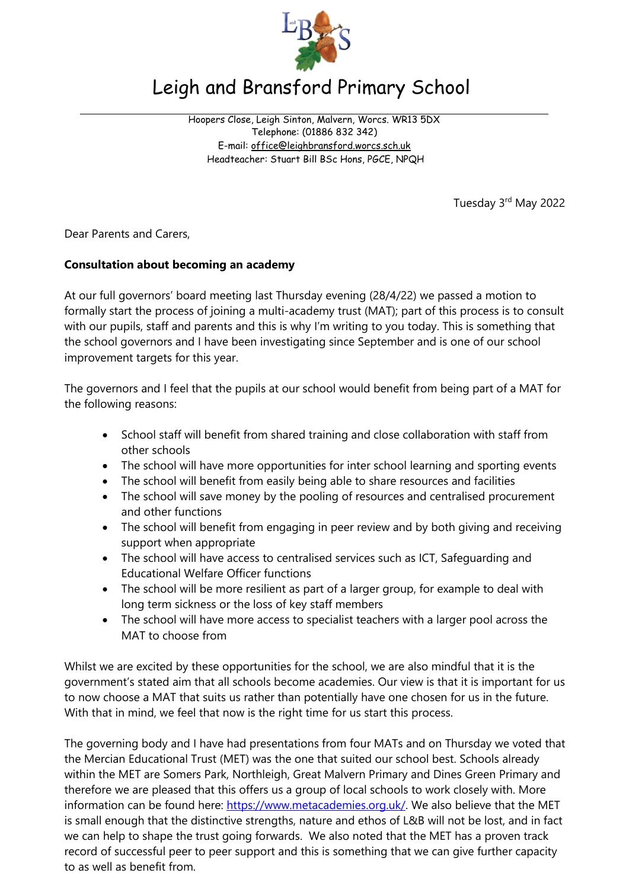

## Leigh and Bransford Primary School

Hoopers Close, Leigh Sinton, Malvern, Worcs. WR13 5DX Telephone: (01886 832 342) E-mail: [office@leighbransford.worcs.sch.uk](mailto:office@leighbransford.worcs.sch.uk) Headteacher: Stuart Bill BSc Hons, PGCE, NPQH

Tuesday 3rd May 2022

Dear Parents and Carers,

## **Consultation about becoming an academy**

At our full governors' board meeting last Thursday evening (28/4/22) we passed a motion to formally start the process of joining a multi-academy trust (MAT); part of this process is to consult with our pupils, staff and parents and this is why I'm writing to you today. This is something that the school governors and I have been investigating since September and is one of our school improvement targets for this year.

The governors and I feel that the pupils at our school would benefit from being part of a MAT for the following reasons:

- School staff will benefit from shared training and close collaboration with staff from other schools
- The school will have more opportunities for inter school learning and sporting events
- The school will benefit from easily being able to share resources and facilities
- The school will save money by the pooling of resources and centralised procurement and other functions
- The school will benefit from engaging in peer review and by both giving and receiving support when appropriate
- The school will have access to centralised services such as ICT, Safeguarding and Educational Welfare Officer functions
- The school will be more resilient as part of a larger group, for example to deal with long term sickness or the loss of key staff members
- The school will have more access to specialist teachers with a larger pool across the MAT to choose from

Whilst we are excited by these opportunities for the school, we are also mindful that it is the government's stated aim that all schools become academies. Our view is that it is important for us to now choose a MAT that suits us rather than potentially have one chosen for us in the future. With that in mind, we feel that now is the right time for us start this process.

The governing body and I have had presentations from four MATs and on Thursday we voted that the Mercian Educational Trust (MET) was the one that suited our school best. Schools already within the MET are Somers Park, Northleigh, Great Malvern Primary and Dines Green Primary and therefore we are pleased that this offers us a group of local schools to work closely with. More information can be found here: [https://www.metacademies.org.uk/.](https://www.metacademies.org.uk/) We also believe that the MET is small enough that the distinctive strengths, nature and ethos of L&B will not be lost, and in fact we can help to shape the trust going forwards. We also noted that the MET has a proven track record of successful peer to peer support and this is something that we can give further capacity to as well as benefit from.